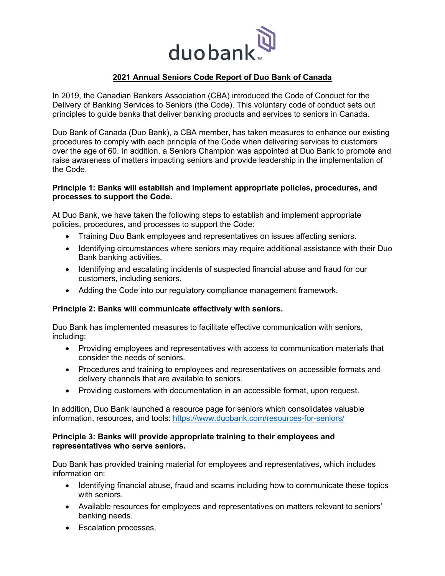

# **2021 Annual Seniors Code Report of Duo Bank of Canada**

In 2019, the Canadian Bankers Association (CBA) introduced the Code of Conduct for the Delivery of Banking Services to Seniors (the Code). This voluntary code of conduct sets out principles to guide banks that deliver banking products and services to seniors in Canada.

Duo Bank of Canada (Duo Bank), a CBA member, has taken measures to enhance our existing procedures to comply with each principle of the Code when delivering services to customers over the age of 60. In addition, a Seniors Champion was appointed at Duo Bank to promote and raise awareness of matters impacting seniors and provide leadership in the implementation of the Code.

### **Principle 1: Banks will establish and implement appropriate policies, procedures, and processes to support the Code.**

At Duo Bank, we have taken the following steps to establish and implement appropriate policies, procedures, and processes to support the Code:

- Training Duo Bank employees and representatives on issues affecting seniors.
- Identifying circumstances where seniors may require additional assistance with their Duo Bank banking activities.
- Identifying and escalating incidents of suspected financial abuse and fraud for our customers, including seniors.
- Adding the Code into our regulatory compliance management framework.

### **Principle 2: Banks will communicate effectively with seniors.**

Duo Bank has implemented measures to facilitate effective communication with seniors, including:

- Providing employees and representatives with access to communication materials that consider the needs of seniors.
- Procedures and training to employees and representatives on accessible formats and delivery channels that are available to seniors.
- Providing customers with documentation in an accessible format, upon request.

In addition, Duo Bank launched a resource page for seniors which consolidates valuable information, resources, and tools:<https://www.duobank.com/resources-for-seniors/>

## **Principle 3: Banks will provide appropriate training to their employees and representatives who serve seniors.**

Duo Bank has provided training material for employees and representatives, which includes information on:

- Identifying financial abuse, fraud and scams including how to communicate these topics with seniors.
- Available resources for employees and representatives on matters relevant to seniors' banking needs.
- Escalation processes.